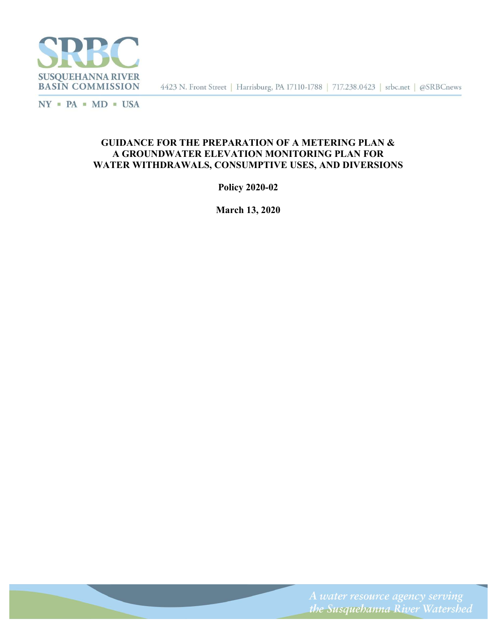

4423 N. Front Street | Harrisburg, PA 17110-1788 | 717.238.0423 | srbc.net | @SRBCnews

 $NY$  = PA = MD = USA

# GUIDANCE FOR THE PREPARATION OF A METERING PLAN & A GROUNDWATER ELEVATION MONITORING PLAN FOR WATER WITHDRAWALS, CONSUMPTIVE USES, AND DIVERSIONS

Policy 2020-02

March 13, 2020

the Susquehanna River Watershed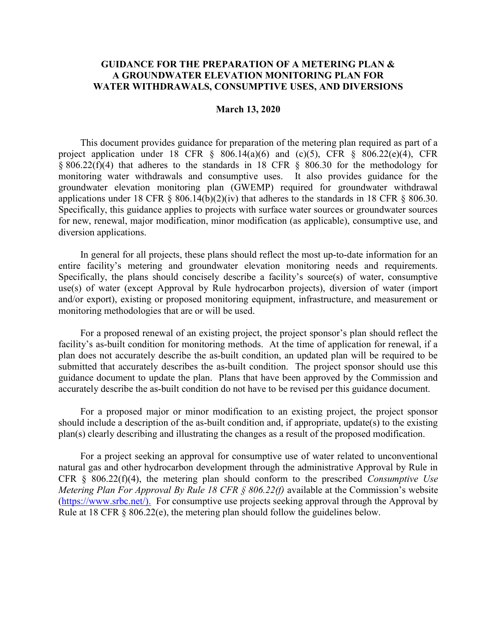# GUIDANCE FOR THE PREPARATION OF A METERING PLAN & A GROUNDWATER ELEVATION MONITORING PLAN FOR WATER WITHDRAWALS, CONSUMPTIVE USES, AND DIVERSIONS

#### March 13, 2020

This document provides guidance for preparation of the metering plan required as part of a project application under 18 CFR  $\S$  806.14(a)(6) and (c)(5), CFR  $\S$  806.22(e)(4), CFR § 806.22(f)(4) that adheres to the standards in 18 CFR § 806.30 for the methodology for monitoring water withdrawals and consumptive uses. It also provides guidance for the groundwater elevation monitoring plan (GWEMP) required for groundwater withdrawal applications under 18 CFR  $\S$  806.14(b)(2)(iv) that adheres to the standards in 18 CFR  $\S$  806.30. Specifically, this guidance applies to projects with surface water sources or groundwater sources for new, renewal, major modification, minor modification (as applicable), consumptive use, and diversion applications.

In general for all projects, these plans should reflect the most up-to-date information for an entire facility's metering and groundwater elevation monitoring needs and requirements. Specifically, the plans should concisely describe a facility's source(s) of water, consumptive use(s) of water (except Approval by Rule hydrocarbon projects), diversion of water (import and/or export), existing or proposed monitoring equipment, infrastructure, and measurement or monitoring methodologies that are or will be used.

For a proposed renewal of an existing project, the project sponsor's plan should reflect the facility's as-built condition for monitoring methods. At the time of application for renewal, if a plan does not accurately describe the as-built condition, an updated plan will be required to be submitted that accurately describes the as-built condition. The project sponsor should use this guidance document to update the plan. Plans that have been approved by the Commission and accurately describe the as-built condition do not have to be revised per this guidance document.

For a proposed major or minor modification to an existing project, the project sponsor should include a description of the as-built condition and, if appropriate, update(s) to the existing plan(s) clearly describing and illustrating the changes as a result of the proposed modification.

For a project seeking an approval for consumptive use of water related to unconventional natural gas and other hydrocarbon development through the administrative Approval by Rule in CFR  $\S$  806.22(f)(4), the metering plan should conform to the prescribed *Consumptive Use* Metering Plan For Approval By Rule 18 CFR  $\S$  806.22(f) available at the Commission's website (https://www.srbc.net/). For consumptive use projects seeking approval through the Approval by Rule at 18 CFR  $\S$  806.22(e), the metering plan should follow the guidelines below.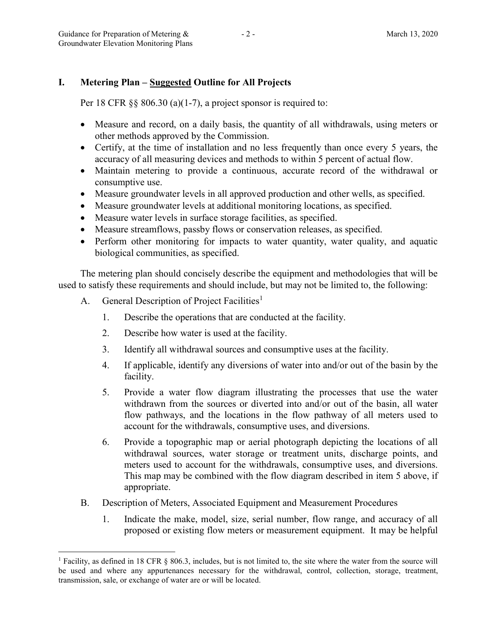# I. Metering Plan – Suggested Outline for All Projects

Per 18 CFR  $\S$ § 806.30 (a)(1-7), a project sponsor is required to:

- Measure and record, on a daily basis, the quantity of all withdrawals, using meters or other methods approved by the Commission.
- Certify, at the time of installation and no less frequently than once every 5 years, the accuracy of all measuring devices and methods to within 5 percent of actual flow.
- Maintain metering to provide a continuous, accurate record of the withdrawal or consumptive use.
- Measure groundwater levels in all approved production and other wells, as specified.
- Measure groundwater levels at additional monitoring locations, as specified.
- Measure water levels in surface storage facilities, as specified.
- Measure streamflows, passby flows or conservation releases, as specified.
- Perform other monitoring for impacts to water quantity, water quality, and aquatic biological communities, as specified.

The metering plan should concisely describe the equipment and methodologies that will be used to satisfy these requirements and should include, but may not be limited to, the following:

A. General Description of Project Facilities<sup>1</sup>

 $\overline{a}$ 

- 1. Describe the operations that are conducted at the facility.
- 2. Describe how water is used at the facility.
- 3. Identify all withdrawal sources and consumptive uses at the facility.
- 4. If applicable, identify any diversions of water into and/or out of the basin by the facility.
- 5. Provide a water flow diagram illustrating the processes that use the water withdrawn from the sources or diverted into and/or out of the basin, all water flow pathways, and the locations in the flow pathway of all meters used to account for the withdrawals, consumptive uses, and diversions.
- 6. Provide a topographic map or aerial photograph depicting the locations of all withdrawal sources, water storage or treatment units, discharge points, and meters used to account for the withdrawals, consumptive uses, and diversions. This map may be combined with the flow diagram described in item 5 above, if appropriate.
- B. Description of Meters, Associated Equipment and Measurement Procedures
	- 1. Indicate the make, model, size, serial number, flow range, and accuracy of all proposed or existing flow meters or measurement equipment. It may be helpful

<sup>&</sup>lt;sup>1</sup> Facility, as defined in 18 CFR § 806.3, includes, but is not limited to, the site where the water from the source will be used and where any appurtenances necessary for the withdrawal, control, collection, storage, treatment, transmission, sale, or exchange of water are or will be located.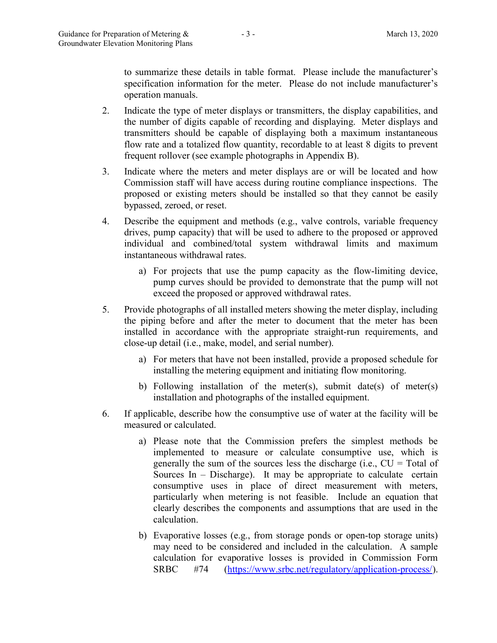to summarize these details in table format. Please include the manufacturer's specification information for the meter. Please do not include manufacturer's operation manuals.

- 2. Indicate the type of meter displays or transmitters, the display capabilities, and the number of digits capable of recording and displaying. Meter displays and transmitters should be capable of displaying both a maximum instantaneous flow rate and a totalized flow quantity, recordable to at least 8 digits to prevent frequent rollover (see example photographs in Appendix B).
- 3. Indicate where the meters and meter displays are or will be located and how Commission staff will have access during routine compliance inspections. The proposed or existing meters should be installed so that they cannot be easily bypassed, zeroed, or reset.
- 4. Describe the equipment and methods (e.g., valve controls, variable frequency drives, pump capacity) that will be used to adhere to the proposed or approved individual and combined/total system withdrawal limits and maximum instantaneous withdrawal rates.
	- a) For projects that use the pump capacity as the flow-limiting device, pump curves should be provided to demonstrate that the pump will not exceed the proposed or approved withdrawal rates.
- 5. Provide photographs of all installed meters showing the meter display, including the piping before and after the meter to document that the meter has been installed in accordance with the appropriate straight-run requirements, and close-up detail (i.e., make, model, and serial number).
	- a) For meters that have not been installed, provide a proposed schedule for installing the metering equipment and initiating flow monitoring.
	- b) Following installation of the meter(s), submit date(s) of meter(s) installation and photographs of the installed equipment.
- 6. If applicable, describe how the consumptive use of water at the facility will be measured or calculated.
	- a) Please note that the Commission prefers the simplest methods be implemented to measure or calculate consumptive use, which is generally the sum of the sources less the discharge (i.e.,  $CU = Total of$ Sources In  $-$  Discharge). It may be appropriate to calculate certain consumptive uses in place of direct measurement with meters, particularly when metering is not feasible. Include an equation that clearly describes the components and assumptions that are used in the calculation.
	- b) Evaporative losses (e.g., from storage ponds or open-top storage units) may need to be considered and included in the calculation. A sample calculation for evaporative losses is provided in Commission Form SRBC #74 (https://www.srbc.net/regulatory/application-process/).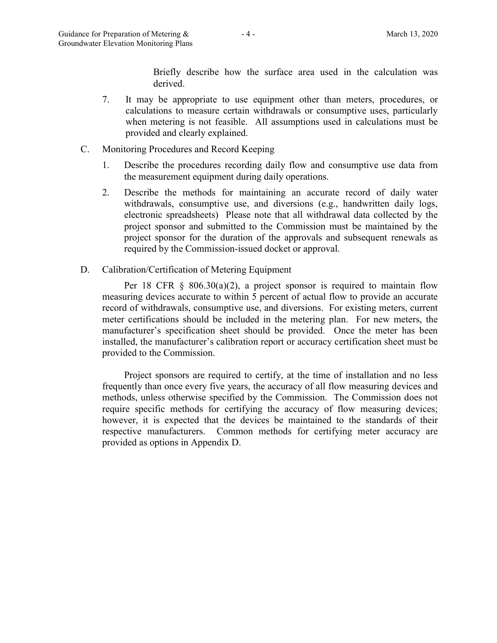Briefly describe how the surface area used in the calculation was derived.

- 7. It may be appropriate to use equipment other than meters, procedures, or calculations to measure certain withdrawals or consumptive uses, particularly when metering is not feasible. All assumptions used in calculations must be provided and clearly explained.
- C. Monitoring Procedures and Record Keeping
	- 1. Describe the procedures recording daily flow and consumptive use data from the measurement equipment during daily operations.
	- 2. Describe the methods for maintaining an accurate record of daily water withdrawals, consumptive use, and diversions (e.g., handwritten daily logs, electronic spreadsheets) Please note that all withdrawal data collected by the project sponsor and submitted to the Commission must be maintained by the project sponsor for the duration of the approvals and subsequent renewals as required by the Commission-issued docket or approval.
- D. Calibration/Certification of Metering Equipment

Per 18 CFR  $\S$  806.30(a)(2), a project sponsor is required to maintain flow measuring devices accurate to within 5 percent of actual flow to provide an accurate record of withdrawals, consumptive use, and diversions. For existing meters, current meter certifications should be included in the metering plan. For new meters, the manufacturer's specification sheet should be provided. Once the meter has been installed, the manufacturer's calibration report or accuracy certification sheet must be provided to the Commission.

Project sponsors are required to certify, at the time of installation and no less frequently than once every five years, the accuracy of all flow measuring devices and methods, unless otherwise specified by the Commission. The Commission does not require specific methods for certifying the accuracy of flow measuring devices; however, it is expected that the devices be maintained to the standards of their respective manufacturers. Common methods for certifying meter accuracy are provided as options in Appendix D.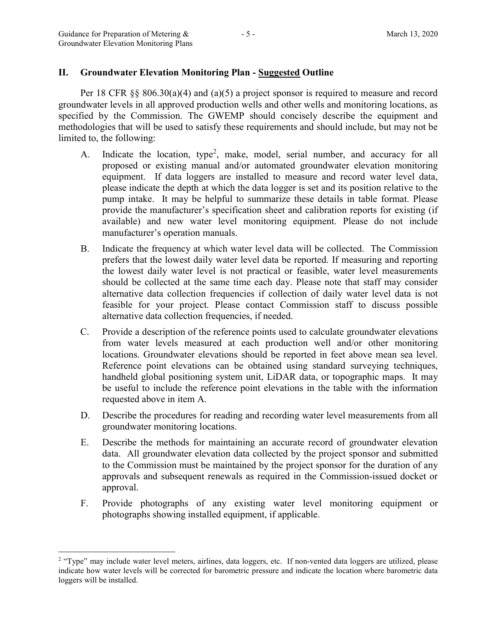$\overline{a}$ 

# II. Groundwater Elevation Monitoring Plan - Suggested Outline

Per 18 CFR §§ 806.30(a)(4) and (a)(5) a project sponsor is required to measure and record groundwater levels in all approved production wells and other wells and monitoring locations, as specified by the Commission. The GWEMP should concisely describe the equipment and methodologies that will be used to satisfy these requirements and should include, but may not be limited to, the following:

- A. Indicate the location, type<sup>2</sup>, make, model, serial number, and accuracy for all proposed or existing manual and/or automated groundwater elevation monitoring equipment. If data loggers are installed to measure and record water level data, please indicate the depth at which the data logger is set and its position relative to the pump intake. It may be helpful to summarize these details in table format. Please provide the manufacturer's specification sheet and calibration reports for existing (if available) and new water level monitoring equipment. Please do not include manufacturer's operation manuals.
- B. Indicate the frequency at which water level data will be collected. The Commission prefers that the lowest daily water level data be reported. If measuring and reporting the lowest daily water level is not practical or feasible, water level measurements should be collected at the same time each day. Please note that staff may consider alternative data collection frequencies if collection of daily water level data is not feasible for your project. Please contact Commission staff to discuss possible alternative data collection frequencies, if needed.
- C. Provide a description of the reference points used to calculate groundwater elevations from water levels measured at each production well and/or other monitoring locations. Groundwater elevations should be reported in feet above mean sea level. Reference point elevations can be obtained using standard surveying techniques, handheld global positioning system unit, LiDAR data, or topographic maps. It may be useful to include the reference point elevations in the table with the information requested above in item A.
- D. Describe the procedures for reading and recording water level measurements from all groundwater monitoring locations.
- E. Describe the methods for maintaining an accurate record of groundwater elevation data. All groundwater elevation data collected by the project sponsor and submitted to the Commission must be maintained by the project sponsor for the duration of any approvals and subsequent renewals as required in the Commission-issued docket or approval.
- F. Provide photographs of any existing water level monitoring equipment or photographs showing installed equipment, if applicable.

<sup>&</sup>lt;sup>2</sup> "Type" may include water level meters, airlines, data loggers, etc. If non-vented data loggers are utilized, please indicate how water levels will be corrected for barometric pressure and indicate the location where barometric data loggers will be installed.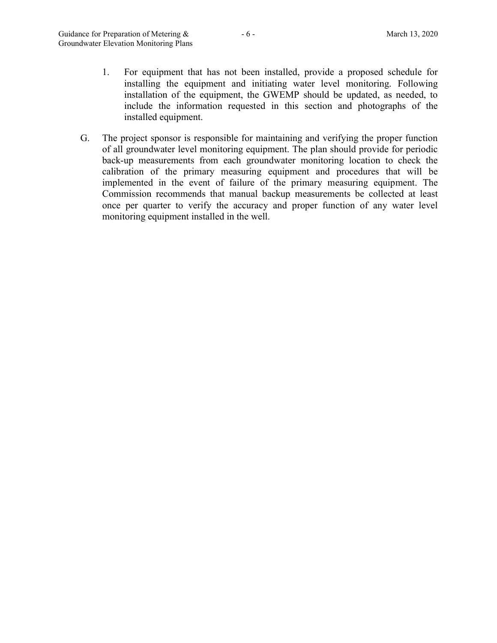- 1. For equipment that has not been installed, provide a proposed schedule for installing the equipment and initiating water level monitoring. Following installation of the equipment, the GWEMP should be updated, as needed, to include the information requested in this section and photographs of the installed equipment.
- G. The project sponsor is responsible for maintaining and verifying the proper function of all groundwater level monitoring equipment. The plan should provide for periodic back-up measurements from each groundwater monitoring location to check the calibration of the primary measuring equipment and procedures that will be implemented in the event of failure of the primary measuring equipment. The Commission recommends that manual backup measurements be collected at least once per quarter to verify the accuracy and proper function of any water level monitoring equipment installed in the well.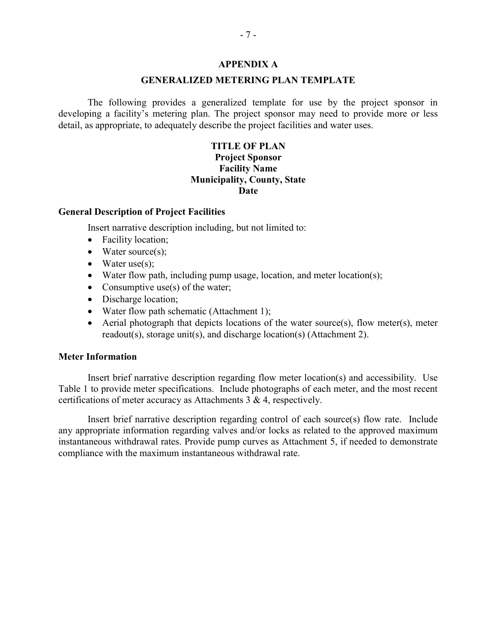### APPENDIX A

## GENERALIZED METERING PLAN TEMPLATE

The following provides a generalized template for use by the project sponsor in developing a facility's metering plan. The project sponsor may need to provide more or less detail, as appropriate, to adequately describe the project facilities and water uses.

# TITLE OF PLAN Project Sponsor Facility Name Municipality, County, State Date

# General Description of Project Facilities

Insert narrative description including, but not limited to:

- Facility location;
- $\bullet$  Water source(s);
- $\bullet$  Water use(s);
- Water flow path, including pump usage, location, and meter location(s);
- Consumptive use(s) of the water;
- Discharge location;
- Water flow path schematic (Attachment 1);
- Aerial photograph that depicts locations of the water source(s), flow meter(s), meter readout(s), storage unit(s), and discharge location(s) (Attachment 2).

### Meter Information

 Insert brief narrative description regarding flow meter location(s) and accessibility. Use Table 1 to provide meter specifications. Include photographs of each meter, and the most recent certifications of meter accuracy as Attachments 3 & 4, respectively.

 Insert brief narrative description regarding control of each source(s) flow rate. Include any appropriate information regarding valves and/or locks as related to the approved maximum instantaneous withdrawal rates. Provide pump curves as Attachment 5, if needed to demonstrate compliance with the maximum instantaneous withdrawal rate.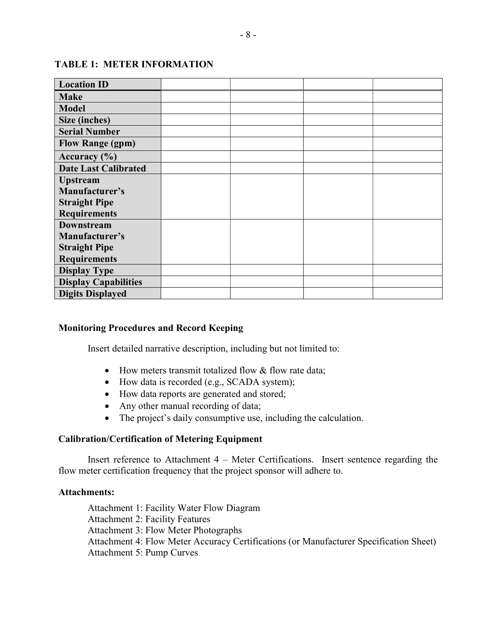| <b>Location ID</b>          |  |  |
|-----------------------------|--|--|
| <b>Make</b>                 |  |  |
| <b>Model</b>                |  |  |
| Size (inches)               |  |  |
| <b>Serial Number</b>        |  |  |
| <b>Flow Range (gpm)</b>     |  |  |
| Accuracy $(\% )$            |  |  |
| <b>Date Last Calibrated</b> |  |  |
| <b>Upstream</b>             |  |  |
| Manufacturer's              |  |  |
| <b>Straight Pipe</b>        |  |  |
| <b>Requirements</b>         |  |  |
| <b>Downstream</b>           |  |  |
| Manufacturer's              |  |  |
| <b>Straight Pipe</b>        |  |  |
| <b>Requirements</b>         |  |  |
| <b>Display Type</b>         |  |  |
| <b>Display Capabilities</b> |  |  |
| <b>Digits Displayed</b>     |  |  |

# TABLE 1: METER INFORMATION

# Monitoring Procedures and Record Keeping

Insert detailed narrative description, including but not limited to:

- How meters transmit totalized flow & flow rate data;
- How data is recorded (e.g., SCADA system);
- How data reports are generated and stored;
- Any other manual recording of data;
- The project's daily consumptive use, including the calculation.

## Calibration/Certification of Metering Equipment

 Insert reference to Attachment 4 – Meter Certifications. Insert sentence regarding the flow meter certification frequency that the project sponsor will adhere to.

## Attachments:

Attachment 1: Facility Water Flow Diagram Attachment 2: Facility Features Attachment 3: Flow Meter Photographs Attachment 4: Flow Meter Accuracy Certifications (or Manufacturer Specification Sheet) Attachment 5: Pump Curves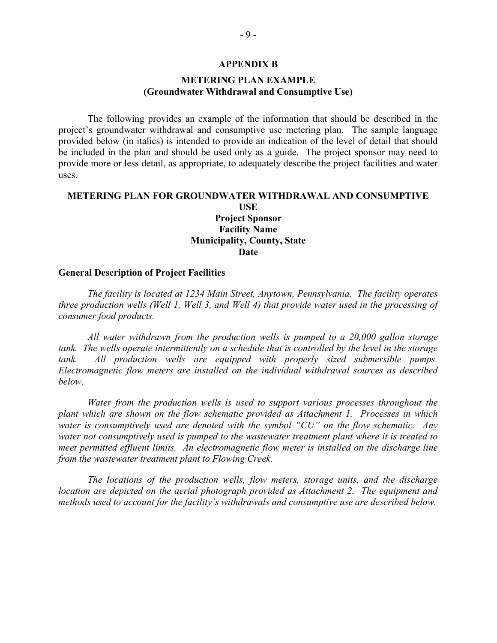#### APPENDIX B

# METERING PLAN EXAMPLE (Groundwater Withdrawal and Consumptive Use)

The following provides an example of the information that should be described in the project's groundwater withdrawal and consumptive use metering plan. The sample language provided below (in italics) is intended to provide an indication of the level of detail that should be included in the plan and should be used only as a guide. The project sponsor may need to provide more or less detail, as appropriate, to adequately describe the project facilities and water uses.

# METERING PLAN FOR GROUNDWATER WITHDRAWAL AND CONSUMPTIVE USE

## Project Sponsor Facility Name Municipality, County, State **Date**

## General Description of Project Facilities

The facility is located at 1234 Main Street, Anytown, Pennsylvania. The facility operates three production wells (Well 1, Well 3, and Well 4) that provide water used in the processing of consumer food products.

All water withdrawn from the production wells is pumped to a 20,000 gallon storage tank. The wells operate intermittently on a schedule that is controlled by the level in the storage tank. All production wells are equipped with properly sized submersible pumps. Electromagnetic flow meters are installed on the individual withdrawal sources as described below.

Water from the production wells is used to support various processes throughout the plant which are shown on the flow schematic provided as Attachment 1. Processes in which water is consumptively used are denoted with the symbol "CU" on the flow schematic. Any water not consumptively used is pumped to the wastewater treatment plant where it is treated to meet permitted effluent limits. An electromagnetic flow meter is installed on the discharge line from the wastewater treatment plant to Flowing Creek.

The locations of the production wells, flow meters, storage units, and the discharge location are depicted on the aerial photograph provided as Attachment 2. The equipment and methods used to account for the facility's withdrawals and consumptive use are described below.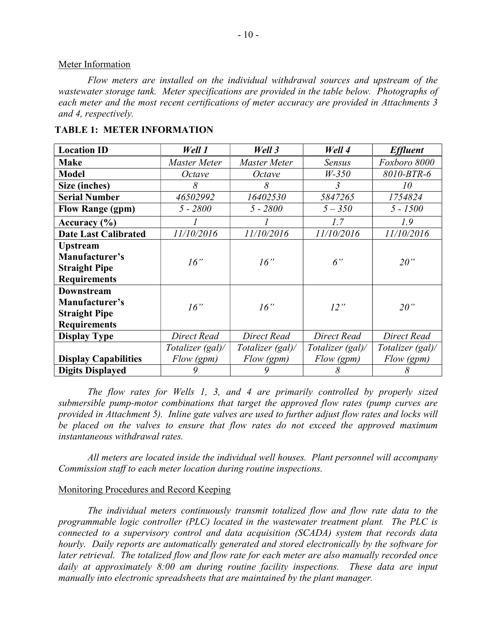## Meter Information

Flow meters are installed on the individual withdrawal sources and upstream of the wastewater storage tank. Meter specifications are provided in the table below. Photographs of each meter and the most recent certifications of meter accuracy are provided in Attachments 3 and 4, respectively.

| <b>Location ID</b>          | Well 1           | <b>Well 3</b>    | Well 4           | <b>Effluent</b>  |  |
|-----------------------------|------------------|------------------|------------------|------------------|--|
| <b>Make</b>                 | Master Meter     | Master Meter     | Sensus           | Foxboro 8000     |  |
| <b>Model</b>                | Octave           | Octave           | $W-350$          | 8010-BTR-6       |  |
| Size (inches)               | 8                | 8                | 3                | 10               |  |
| <b>Serial Number</b>        | 46502992         | 16402530         | 5847265          | 1754824          |  |
| <b>Flow Range (gpm)</b>     | $5 - 2800$       | $5 - 2800$       | $5 - 350$        | 5 - 1500         |  |
| Accuracy $(\% )$            |                  |                  | 1.7              | 1.9              |  |
| <b>Date Last Calibrated</b> | 11/10/2016       | 11/10/2016       | 11/10/2016       | 11/10/2016       |  |
| <b>Upstream</b>             |                  |                  |                  |                  |  |
| Manufacturer's              | 16"              | 16"              | 6"               | 20"              |  |
| <b>Straight Pipe</b>        |                  |                  |                  |                  |  |
| <b>Requirements</b>         |                  |                  |                  |                  |  |
| <b>Downstream</b>           |                  |                  |                  |                  |  |
| Manufacturer's              | 16"              | 16"              | 12"              | 20"              |  |
| <b>Straight Pipe</b>        |                  |                  |                  |                  |  |
| <b>Requirements</b>         |                  |                  |                  |                  |  |
| <b>Display Type</b>         | Direct Read      | Direct Read      | Direct Read      | Direct Read      |  |
|                             | Totalizer (gal)/ | Totalizer (gal)/ | Totalizer (gal)/ | Totalizer (gal)/ |  |
| <b>Display Capabilities</b> | Flow (gpm)       | Flow (gpm)       | Flow (gpm)       | Flow (gpm)       |  |
| <b>Digits Displayed</b>     | 9                | 9                | 8                | 8                |  |

## TABLE 1: METER INFORMATION

The flow rates for Wells 1, 3, and 4 are primarily controlled by properly sized submersible pump-motor combinations that target the approved flow rates (pump curves are provided in Attachment 5). Inline gate valves are used to further adjust flow rates and locks will be placed on the valves to ensure that flow rates do not exceed the approved maximum instantaneous withdrawal rates.

All meters are located inside the individual well houses. Plant personnel will accompany Commission staff to each meter location during routine inspections.

## Monitoring Procedures and Record Keeping

The individual meters continuously transmit totalized flow and flow rate data to the programmable logic controller (PLC) located in the wastewater treatment plant. The PLC is connected to a supervisory control and data acquisition (SCADA) system that records data hourly. Daily reports are automatically generated and stored electronically by the software for later retrieval. The totalized flow and flow rate for each meter are also manually recorded once daily at approximately 8:00 am during routine facility inspections. These data are input manually into electronic spreadsheets that are maintained by the plant manager.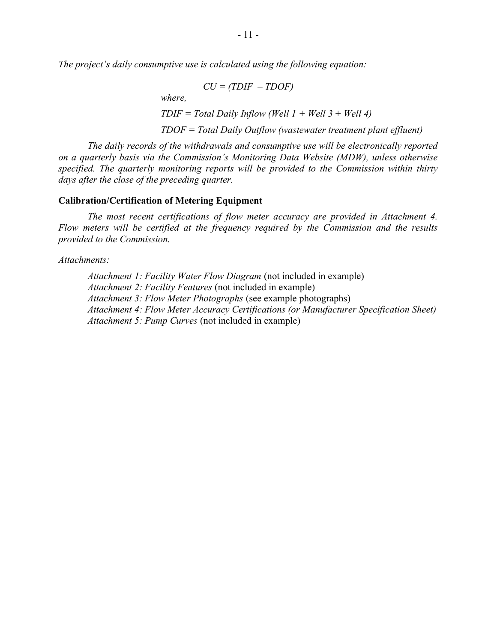The project's daily consumptive use is calculated using the following equation:

$$
CU = (TDIF - TDOF)
$$
  
where,  
TDIF = Total Daily Inflow (Well 1 + Well 3 + Well 4)  
TDOF = Total Daily Outflow (wastewater treatment plant effluent)

 The daily records of the withdrawals and consumptive use will be electronically reported on a quarterly basis via the Commission's Monitoring Data Website (MDW), unless otherwise specified. The quarterly monitoring reports will be provided to the Commission within thirty days after the close of the preceding quarter.

## Calibration/Certification of Metering Equipment

The most recent certifications of flow meter accuracy are provided in Attachment 4. Flow meters will be certified at the frequency required by the Commission and the results provided to the Commission.

Attachments:

Attachment 1: Facility Water Flow Diagram (not included in example) Attachment 2: Facility Features (not included in example) Attachment 3: Flow Meter Photographs (see example photographs) Attachment 4: Flow Meter Accuracy Certifications (or Manufacturer Specification Sheet) Attachment 5: Pump Curves (not included in example)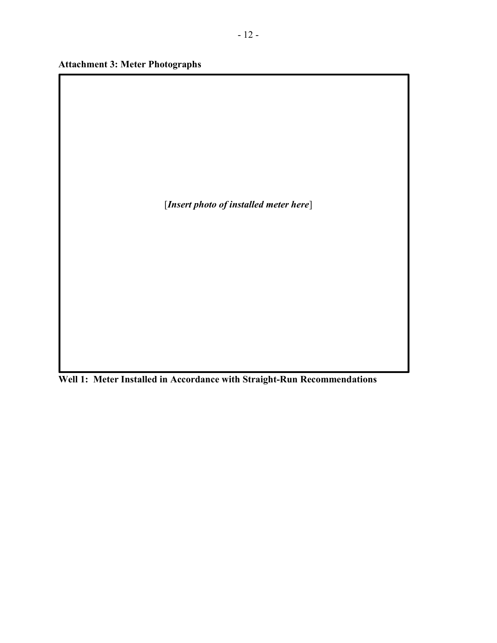Attachment 3: Meter Photographs

[Insert photo of installed meter here]

Well 1: Meter Installed in Accordance with Straight-Run Recommendations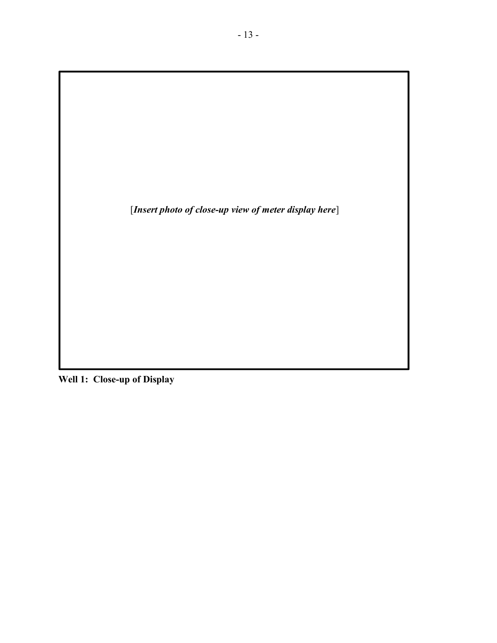[Insert photo of close-up view of meter display here]

Well 1: Close-up of Display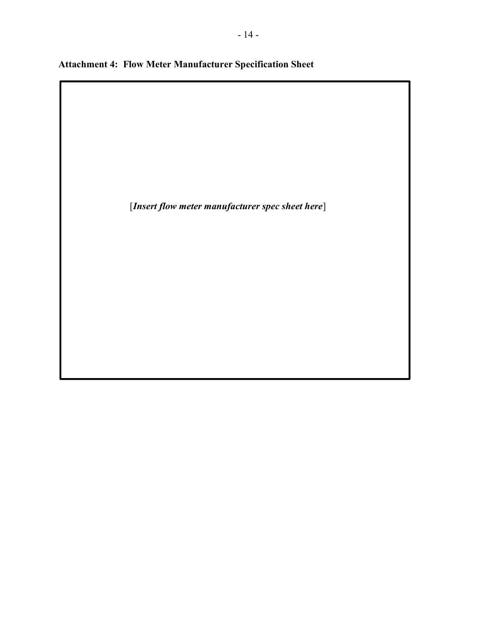|  |  |  | <b>Attachment 4: Flow Meter Manufacturer Specification Sheet</b> |  |  |  |
|--|--|--|------------------------------------------------------------------|--|--|--|
|--|--|--|------------------------------------------------------------------|--|--|--|

ı

[Insert flow meter manufacturer spec sheet here]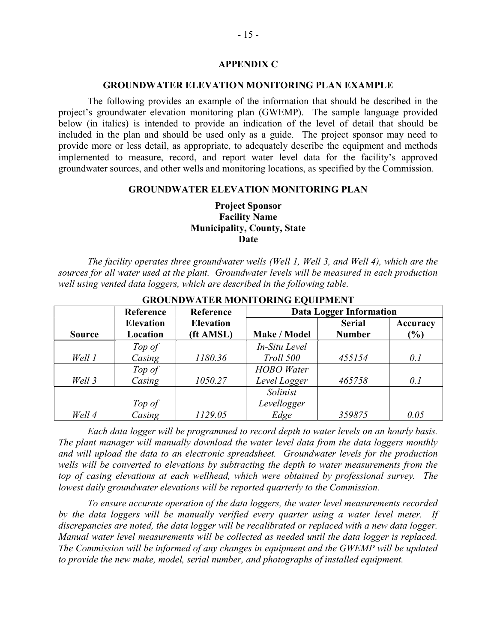## APPENDIX C

### GROUNDWATER ELEVATION MONITORING PLAN EXAMPLE

The following provides an example of the information that should be described in the project's groundwater elevation monitoring plan (GWEMP). The sample language provided below (in italics) is intended to provide an indication of the level of detail that should be included in the plan and should be used only as a guide. The project sponsor may need to provide more or less detail, as appropriate, to adequately describe the equipment and methods implemented to measure, record, and report water level data for the facility's approved groundwater sources, and other wells and monitoring locations, as specified by the Commission.

## GROUNDWATER ELEVATION MONITORING PLAN

# Project Sponsor Facility Name Municipality, County, State Date

 The facility operates three groundwater wells (Well 1, Well 3, and Well 4), which are the sources for all water used at the plant. Groundwater levels will be measured in each production well using vented data loggers, which are described in the following table.

|               | Reference        | Reference        | <b>Data Logger Information</b> |               |          |
|---------------|------------------|------------------|--------------------------------|---------------|----------|
|               | <b>Elevation</b> | <b>Elevation</b> |                                | <b>Serial</b> | Accuracy |
| <b>Source</b> | Location         | (ft AMSL)        | Make / Model                   | <b>Number</b> | $(\%)$   |
|               | Top of           |                  | In-Situ Level                  |               |          |
| Well 1        | Casing           | 1180.36          | Troll 500                      | 455154        | 0.1      |
|               | Top of           |                  | <b>HOBO</b> Water              |               |          |
| Well 3        | Casing           | 1050.27          | Level Logger                   | 465758        | 0.1      |
|               |                  |                  | Solinist                       |               |          |
|               | Top of           |                  | Levellogger                    |               |          |
| Well 4        | Casing           | 1129.05          | Edge                           | 359875        | 0.05     |

## GROUNDWATER MONITORING EQUIPMENT

 Each data logger will be programmed to record depth to water levels on an hourly basis. The plant manager will manually download the water level data from the data loggers monthly and will upload the data to an electronic spreadsheet. Groundwater levels for the production wells will be converted to elevations by subtracting the depth to water measurements from the top of casing elevations at each wellhead, which were obtained by professional survey. The lowest daily groundwater elevations will be reported quarterly to the Commission.

 To ensure accurate operation of the data loggers, the water level measurements recorded by the data loggers will be manually verified every quarter using a water level meter. If discrepancies are noted, the data logger will be recalibrated or replaced with a new data logger. Manual water level measurements will be collected as needed until the data logger is replaced. The Commission will be informed of any changes in equipment and the GWEMP will be updated to provide the new make, model, serial number, and photographs of installed equipment.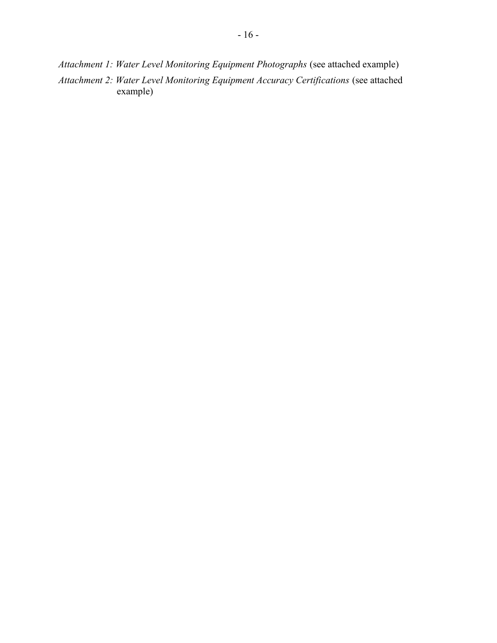Attachment 1: Water Level Monitoring Equipment Photographs (see attached example) Attachment 2: Water Level Monitoring Equipment Accuracy Certifications (see attached example)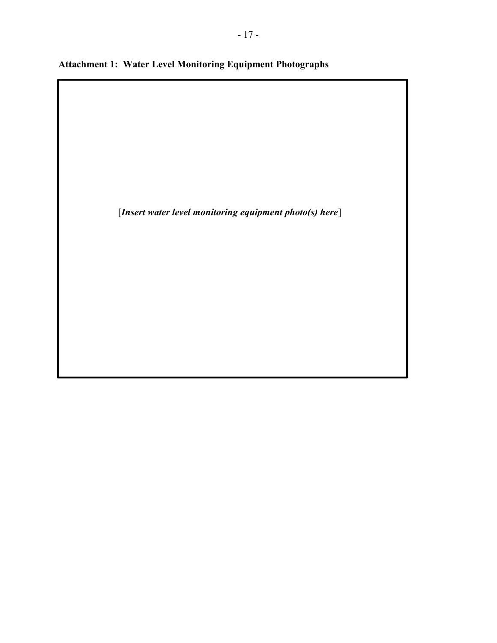Attachment 1: Water Level Monitoring Equipment Photographs

 $\overline{\phantom{a}}$ 

[Insert water level monitoring equipment photo(s) here]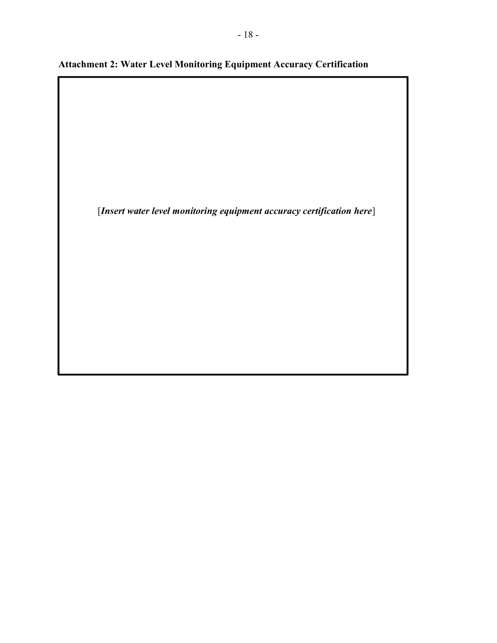Attachment 2: Water Level Monitoring Equipment Accuracy Certification

[Insert water level monitoring equipment accuracy certification here]